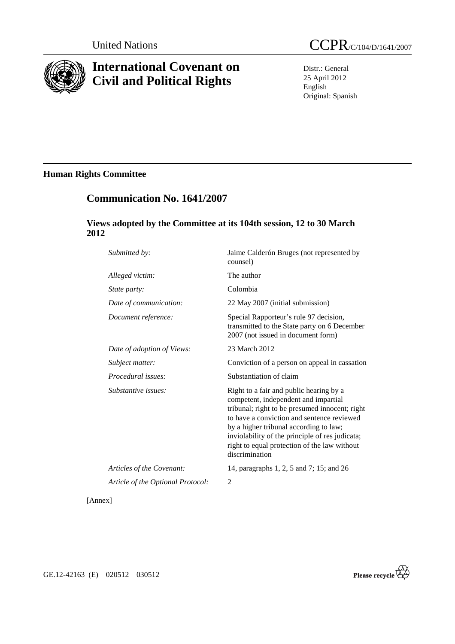

# **International Covenant on Civil and Political Rights**

Distr.: General 25 April 2012 English Original: Spanish

## **Human Rights Committee**

## **Communication No. 1641/2007**

## **Views adopted by the Committee at its 104th session, 12 to 30 March 2012**

| Submitted by:                     | Jaime Calderón Bruges (not represented by<br>counsel)                                                                                                                                                                                                                                                                                          |
|-----------------------------------|------------------------------------------------------------------------------------------------------------------------------------------------------------------------------------------------------------------------------------------------------------------------------------------------------------------------------------------------|
| Alleged victim:                   | The author                                                                                                                                                                                                                                                                                                                                     |
| State party:                      | Colombia                                                                                                                                                                                                                                                                                                                                       |
| Date of communication:            | 22 May 2007 (initial submission)                                                                                                                                                                                                                                                                                                               |
| Document reference:               | Special Rapporteur's rule 97 decision,<br>transmitted to the State party on 6 December<br>2007 (not issued in document form)                                                                                                                                                                                                                   |
| Date of adoption of Views:        | 23 March 2012                                                                                                                                                                                                                                                                                                                                  |
| Subject matter:                   | Conviction of a person on appeal in cassation                                                                                                                                                                                                                                                                                                  |
| Procedural issues:                | Substantiation of claim                                                                                                                                                                                                                                                                                                                        |
| Substantive issues:               | Right to a fair and public hearing by a<br>competent, independent and impartial<br>tribunal; right to be presumed innocent; right<br>to have a conviction and sentence reviewed<br>by a higher tribunal according to law;<br>inviolability of the principle of res judicata;<br>right to equal protection of the law without<br>discrimination |
| Articles of the Covenant:         | 14, paragraphs 1, 2, 5 and 7; 15; and 26                                                                                                                                                                                                                                                                                                       |
| Article of the Optional Protocol: | 2                                                                                                                                                                                                                                                                                                                                              |
|                                   |                                                                                                                                                                                                                                                                                                                                                |

[Annex]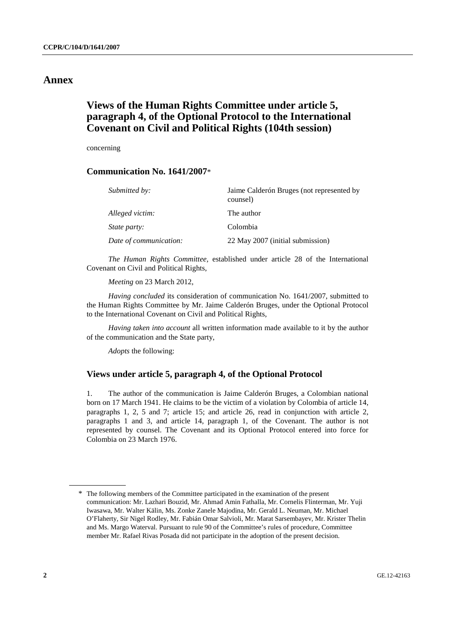## **Annex**

## **Views of the Human Rights Committee under article 5, paragraph 4, of the Optional Protocol to the International Covenant on Civil and Political Rights (104th session)**

concerning

### **Communication No. 1641/2007**\*

| Submitted by:          | Jaime Calderón Bruges (not represented by<br>counsel) |
|------------------------|-------------------------------------------------------|
| Alleged victim:        | The author                                            |
| <i>State party:</i>    | Colombia                                              |
| Date of communication: | 22 May 2007 (initial submission)                      |

*The Human Rights Committee,* established under article 28 of the International Covenant on Civil and Political Rights,

*Meeting* on 23 March 2012,

*Having concluded* its consideration of communication No. 1641/2007, submitted to the Human Rights Committee by Mr. Jaime Calderón Bruges, under the Optional Protocol to the International Covenant on Civil and Political Rights,

*Having taken into account* all written information made available to it by the author of the communication and the State party,

*Adopts* the following:

### **Views under article 5, paragraph 4, of the Optional Protocol**

1. The author of the communication is Jaime Calderón Bruges, a Colombian national born on 17 March 1941. He claims to be the victim of a violation by Colombia of article 14, paragraphs 1, 2, 5 and 7; article 15; and article 26, read in conjunction with article 2, paragraphs 1 and 3, and article 14, paragraph 1, of the Covenant. The author is not represented by counsel. The Covenant and its Optional Protocol entered into force for Colombia on 23 March 1976.

<sup>\*</sup> The following members of the Committee participated in the examination of the present communication: Mr. Lazhari Bouzid, Mr. Ahmad Amin Fathalla, Mr. Cornelis Flinterman, Mr. Yuji Iwasawa, Mr. Walter Kälin, Ms. Zonke Zanele Majodina, Mr. Gerald L. Neuman, Mr. Michael O'Flaherty, Sir Nigel Rodley, Mr. Fabián Omar Salvioli, Mr. Marat Sarsembayev, Mr. Krister Thelin and Ms. Margo Waterval. Pursuant to rule 90 of the Committee's rules of procedure, Committee member Mr. Rafael Rivas Posada did not participate in the adoption of the present decision.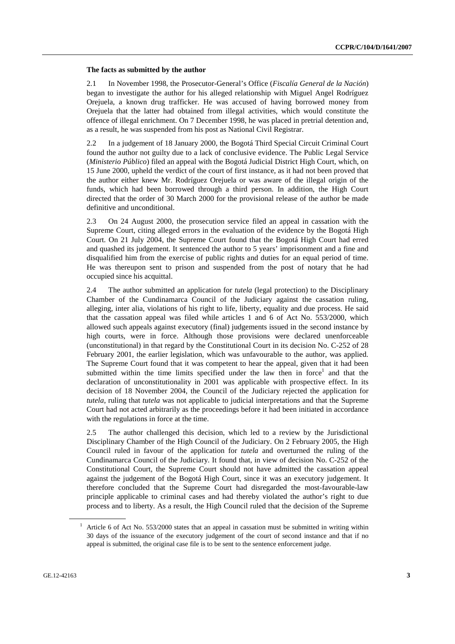#### **The facts as submitted by the author**

2.1 In November 1998, the Prosecutor-General's Office (*Fiscalía General de la Nación*) began to investigate the author for his alleged relationship with Miguel Angel Rodríguez Orejuela, a known drug trafficker. He was accused of having borrowed money from Orejuela that the latter had obtained from illegal activities, which would constitute the offence of illegal enrichment. On 7 December 1998, he was placed in pretrial detention and, as a result, he was suspended from his post as National Civil Registrar.

2.2 In a judgement of 18 January 2000, the Bogotá Third Special Circuit Criminal Court found the author not guilty due to a lack of conclusive evidence. The Public Legal Service (*Ministerio Público*) filed an appeal with the Bogotá Judicial District High Court, which, on 15 June 2000, upheld the verdict of the court of first instance, as it had not been proved that the author either knew Mr. Rodríguez Orejuela or was aware of the illegal origin of the funds, which had been borrowed through a third person. In addition, the High Court directed that the order of 30 March 2000 for the provisional release of the author be made definitive and unconditional.

2.3 On 24 August 2000, the prosecution service filed an appeal in cassation with the Supreme Court, citing alleged errors in the evaluation of the evidence by the Bogotá High Court. On 21 July 2004, the Supreme Court found that the Bogotá High Court had erred and quashed its judgement. It sentenced the author to 5 years' imprisonment and a fine and disqualified him from the exercise of public rights and duties for an equal period of time. He was thereupon sent to prison and suspended from the post of notary that he had occupied since his acquittal.

2.4 The author submitted an application for *tutela* (legal protection) to the Disciplinary Chamber of the Cundinamarca Council of the Judiciary against the cassation ruling, alleging, inter alia, violations of his right to life, liberty, equality and due process. He said that the cassation appeal was filed while articles 1 and 6 of Act No. 553/2000, which allowed such appeals against executory (final) judgements issued in the second instance by high courts, were in force. Although those provisions were declared unenforceable (unconstitutional) in that regard by the Constitutional Court in its decision No. C-252 of 28 February 2001, the earlier legislation, which was unfavourable to the author, was applied. The Supreme Court found that it was competent to hear the appeal, given that it had been submitted within the time limits specified under the law then in force<sup>1</sup> and that the declaration of unconstitutionality in 2001 was applicable with prospective effect. In its decision of 18 November 2004, the Council of the Judiciary rejected the application for *tutela*, ruling that *tutela* was not applicable to judicial interpretations and that the Supreme Court had not acted arbitrarily as the proceedings before it had been initiated in accordance with the regulations in force at the time.

2.5 The author challenged this decision, which led to a review by the Jurisdictional Disciplinary Chamber of the High Council of the Judiciary. On 2 February 2005, the High Council ruled in favour of the application for *tutela* and overturned the ruling of the Cundinamarca Council of the Judiciary. It found that, in view of decision No. C-252 of the Constitutional Court, the Supreme Court should not have admitted the cassation appeal against the judgement of the Bogotá High Court, since it was an executory judgement. It therefore concluded that the Supreme Court had disregarded the most-favourable-law principle applicable to criminal cases and had thereby violated the author's right to due process and to liberty. As a result, the High Council ruled that the decision of the Supreme

<sup>1</sup> Article 6 of Act No. 553/2000 states that an appeal in cassation must be submitted in writing within 30 days of the issuance of the executory judgement of the court of second instance and that if no appeal is submitted, the original case file is to be sent to the sentence enforcement judge.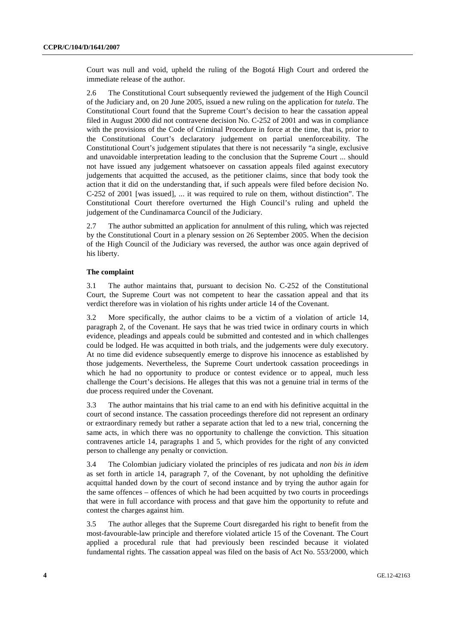Court was null and void, upheld the ruling of the Bogotá High Court and ordered the immediate release of the author.

2.6 The Constitutional Court subsequently reviewed the judgement of the High Council of the Judiciary and, on 20 June 2005, issued a new ruling on the application for *tutela*. The Constitutional Court found that the Supreme Court's decision to hear the cassation appeal filed in August 2000 did not contravene decision No. C-252 of 2001 and was in compliance with the provisions of the Code of Criminal Procedure in force at the time, that is, prior to the Constitutional Court's declaratory judgement on partial unenforceability. The Constitutional Court's judgement stipulates that there is not necessarily "a single, exclusive and unavoidable interpretation leading to the conclusion that the Supreme Court ... should not have issued any judgement whatsoever on cassation appeals filed against executory judgements that acquitted the accused, as the petitioner claims, since that body took the action that it did on the understanding that, if such appeals were filed before decision No. C-252 of 2001 [was issued], ... it was required to rule on them, without distinction". The Constitutional Court therefore overturned the High Council's ruling and upheld the judgement of the Cundinamarca Council of the Judiciary.

2.7 The author submitted an application for annulment of this ruling, which was rejected by the Constitutional Court in a plenary session on 26 September 2005. When the decision of the High Council of the Judiciary was reversed, the author was once again deprived of his liberty.

#### **The complaint**

3.1 The author maintains that, pursuant to decision No. C-252 of the Constitutional Court, the Supreme Court was not competent to hear the cassation appeal and that its verdict therefore was in violation of his rights under article 14 of the Covenant.

3.2 More specifically, the author claims to be a victim of a violation of article 14, paragraph 2, of the Covenant. He says that he was tried twice in ordinary courts in which evidence, pleadings and appeals could be submitted and contested and in which challenges could be lodged. He was acquitted in both trials, and the judgements were duly executory. At no time did evidence subsequently emerge to disprove his innocence as established by those judgements. Nevertheless, the Supreme Court undertook cassation proceedings in which he had no opportunity to produce or contest evidence or to appeal, much less challenge the Court's decisions. He alleges that this was not a genuine trial in terms of the due process required under the Covenant.

3.3 The author maintains that his trial came to an end with his definitive acquittal in the court of second instance. The cassation proceedings therefore did not represent an ordinary or extraordinary remedy but rather a separate action that led to a new trial, concerning the same acts, in which there was no opportunity to challenge the conviction. This situation contravenes article 14, paragraphs 1 and 5, which provides for the right of any convicted person to challenge any penalty or conviction.

3.4 The Colombian judiciary violated the principles of res judicata and *non bis in idem* as set forth in article 14, paragraph 7, of the Covenant, by not upholding the definitive acquittal handed down by the court of second instance and by trying the author again for the same offences – offences of which he had been acquitted by two courts in proceedings that were in full accordance with process and that gave him the opportunity to refute and contest the charges against him.

3.5 The author alleges that the Supreme Court disregarded his right to benefit from the most-favourable-law principle and therefore violated article 15 of the Covenant. The Court applied a procedural rule that had previously been rescinded because it violated fundamental rights. The cassation appeal was filed on the basis of Act No. 553/2000, which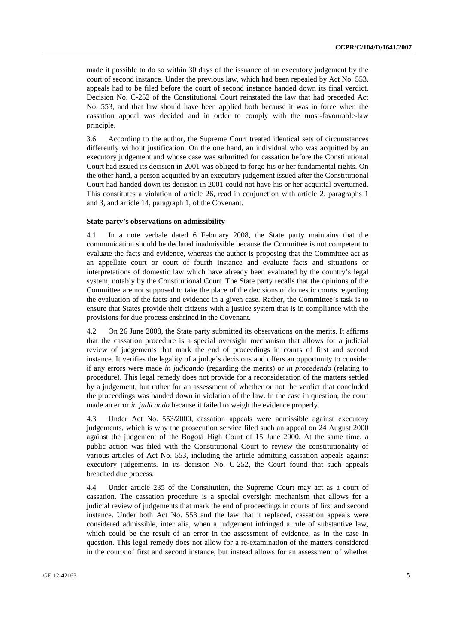made it possible to do so within 30 days of the issuance of an executory judgement by the court of second instance. Under the previous law, which had been repealed by Act No. 553, appeals had to be filed before the court of second instance handed down its final verdict. Decision No. C-252 of the Constitutional Court reinstated the law that had preceded Act No. 553, and that law should have been applied both because it was in force when the cassation appeal was decided and in order to comply with the most-favourable-law principle.

3.6 According to the author, the Supreme Court treated identical sets of circumstances differently without justification. On the one hand, an individual who was acquitted by an executory judgement and whose case was submitted for cassation before the Constitutional Court had issued its decision in 2001 was obliged to forgo his or her fundamental rights. On the other hand, a person acquitted by an executory judgement issued after the Constitutional Court had handed down its decision in 2001 could not have his or her acquittal overturned. This constitutes a violation of article 26, read in conjunction with article 2, paragraphs 1 and 3, and article 14, paragraph 1, of the Covenant.

#### **State party's observations on admissibility**

4.1 In a note verbale dated 6 February 2008, the State party maintains that the communication should be declared inadmissible because the Committee is not competent to evaluate the facts and evidence, whereas the author is proposing that the Committee act as an appellate court or court of fourth instance and evaluate facts and situations or interpretations of domestic law which have already been evaluated by the country's legal system, notably by the Constitutional Court. The State party recalls that the opinions of the Committee are not supposed to take the place of the decisions of domestic courts regarding the evaluation of the facts and evidence in a given case. Rather, the Committee's task is to ensure that States provide their citizens with a justice system that is in compliance with the provisions for due process enshrined in the Covenant.

4.2 On 26 June 2008, the State party submitted its observations on the merits. It affirms that the cassation procedure is a special oversight mechanism that allows for a judicial review of judgements that mark the end of proceedings in courts of first and second instance. It verifies the legality of a judge's decisions and offers an opportunity to consider if any errors were made *in judicando* (regarding the merits) or *in procedendo* (relating to procedure). This legal remedy does not provide for a reconsideration of the matters settled by a judgement, but rather for an assessment of whether or not the verdict that concluded the proceedings was handed down in violation of the law. In the case in question, the court made an error *in judicando* because it failed to weigh the evidence properly.

4.3 Under Act No. 553/2000, cassation appeals were admissible against executory judgements, which is why the prosecution service filed such an appeal on 24 August 2000 against the judgement of the Bogotá High Court of 15 June 2000. At the same time, a public action was filed with the Constitutional Court to review the constitutionality of various articles of Act No. 553, including the article admitting cassation appeals against executory judgements. In its decision No. C-252, the Court found that such appeals breached due process.

4.4 Under article 235 of the Constitution, the Supreme Court may act as a court of cassation. The cassation procedure is a special oversight mechanism that allows for a judicial review of judgements that mark the end of proceedings in courts of first and second instance. Under both Act No. 553 and the law that it replaced, cassation appeals were considered admissible, inter alia, when a judgement infringed a rule of substantive law, which could be the result of an error in the assessment of evidence, as in the case in question. This legal remedy does not allow for a re-examination of the matters considered in the courts of first and second instance, but instead allows for an assessment of whether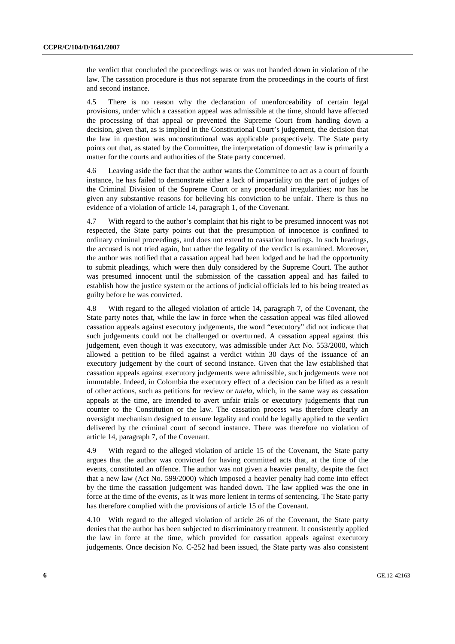the verdict that concluded the proceedings was or was not handed down in violation of the law. The cassation procedure is thus not separate from the proceedings in the courts of first and second instance.

4.5 There is no reason why the declaration of unenforceability of certain legal provisions, under which a cassation appeal was admissible at the time, should have affected the processing of that appeal or prevented the Supreme Court from handing down a decision, given that, as is implied in the Constitutional Court's judgement, the decision that the law in question was unconstitutional was applicable prospectively. The State party points out that, as stated by the Committee, the interpretation of domestic law is primarily a matter for the courts and authorities of the State party concerned.

4.6 Leaving aside the fact that the author wants the Committee to act as a court of fourth instance, he has failed to demonstrate either a lack of impartiality on the part of judges of the Criminal Division of the Supreme Court or any procedural irregularities; nor has he given any substantive reasons for believing his conviction to be unfair. There is thus no evidence of a violation of article 14, paragraph 1, of the Covenant.

4.7 With regard to the author's complaint that his right to be presumed innocent was not respected, the State party points out that the presumption of innocence is confined to ordinary criminal proceedings, and does not extend to cassation hearings. In such hearings, the accused is not tried again, but rather the legality of the verdict is examined. Moreover, the author was notified that a cassation appeal had been lodged and he had the opportunity to submit pleadings, which were then duly considered by the Supreme Court. The author was presumed innocent until the submission of the cassation appeal and has failed to establish how the justice system or the actions of judicial officials led to his being treated as guilty before he was convicted.

4.8 With regard to the alleged violation of article 14, paragraph 7, of the Covenant, the State party notes that, while the law in force when the cassation appeal was filed allowed cassation appeals against executory judgements, the word "executory" did not indicate that such judgements could not be challenged or overturned. A cassation appeal against this judgement, even though it was executory, was admissible under Act No. 553/2000, which allowed a petition to be filed against a verdict within 30 days of the issuance of an executory judgement by the court of second instance. Given that the law established that cassation appeals against executory judgements were admissible, such judgements were not immutable. Indeed, in Colombia the executory effect of a decision can be lifted as a result of other actions, such as petitions for review or *tutela*, which, in the same way as cassation appeals at the time, are intended to avert unfair trials or executory judgements that run counter to the Constitution or the law. The cassation process was therefore clearly an oversight mechanism designed to ensure legality and could be legally applied to the verdict delivered by the criminal court of second instance. There was therefore no violation of article 14, paragraph 7, of the Covenant.

4.9 With regard to the alleged violation of article 15 of the Covenant, the State party argues that the author was convicted for having committed acts that, at the time of the events, constituted an offence. The author was not given a heavier penalty, despite the fact that a new law (Act No. 599/2000) which imposed a heavier penalty had come into effect by the time the cassation judgement was handed down. The law applied was the one in force at the time of the events, as it was more lenient in terms of sentencing. The State party has therefore complied with the provisions of article 15 of the Covenant.

4.10 With regard to the alleged violation of article 26 of the Covenant, the State party denies that the author has been subjected to discriminatory treatment. It consistently applied the law in force at the time, which provided for cassation appeals against executory judgements. Once decision No. C-252 had been issued, the State party was also consistent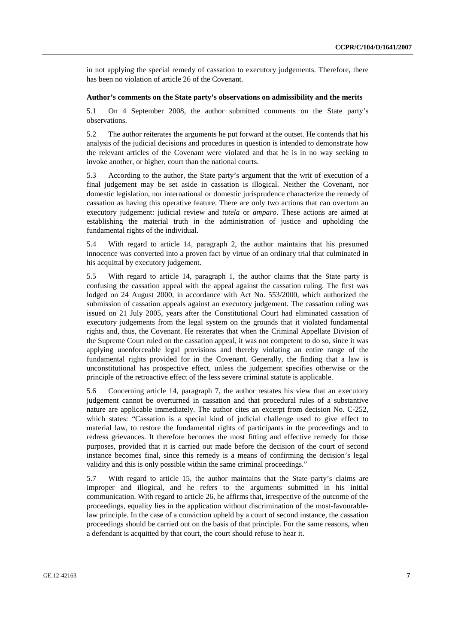in not applying the special remedy of cassation to executory judgements. Therefore, there has been no violation of article 26 of the Covenant.

#### **Author's comments on the State party's observations on admissibility and the merits**

5.1 On 4 September 2008, the author submitted comments on the State party's observations.

5.2 The author reiterates the arguments he put forward at the outset. He contends that his analysis of the judicial decisions and procedures in question is intended to demonstrate how the relevant articles of the Covenant were violated and that he is in no way seeking to invoke another, or higher, court than the national courts.

5.3 According to the author, the State party's argument that the writ of execution of a final judgement may be set aside in cassation is illogical. Neither the Covenant, nor domestic legislation, nor international or domestic jurisprudence characterize the remedy of cassation as having this operative feature. There are only two actions that can overturn an executory judgement: judicial review and *tutela* or *amparo*. These actions are aimed at establishing the material truth in the administration of justice and upholding the fundamental rights of the individual.

5.4 With regard to article 14, paragraph 2, the author maintains that his presumed innocence was converted into a proven fact by virtue of an ordinary trial that culminated in his acquittal by executory judgement.

5.5 With regard to article 14, paragraph 1, the author claims that the State party is confusing the cassation appeal with the appeal against the cassation ruling. The first was lodged on 24 August 2000, in accordance with Act No. 553/2000, which authorized the submission of cassation appeals against an executory judgement. The cassation ruling was issued on 21 July 2005, years after the Constitutional Court had eliminated cassation of executory judgements from the legal system on the grounds that it violated fundamental rights and, thus, the Covenant. He reiterates that when the Criminal Appellate Division of the Supreme Court ruled on the cassation appeal, it was not competent to do so, since it was applying unenforceable legal provisions and thereby violating an entire range of the fundamental rights provided for in the Covenant. Generally, the finding that a law is unconstitutional has prospective effect, unless the judgement specifies otherwise or the principle of the retroactive effect of the less severe criminal statute is applicable.

5.6 Concerning article 14, paragraph 7, the author restates his view that an executory judgement cannot be overturned in cassation and that procedural rules of a substantive nature are applicable immediately. The author cites an excerpt from decision No. C-252, which states: "Cassation is a special kind of judicial challenge used to give effect to material law, to restore the fundamental rights of participants in the proceedings and to redress grievances. It therefore becomes the most fitting and effective remedy for those purposes, provided that it is carried out made before the decision of the court of second instance becomes final, since this remedy is a means of confirming the decision's legal validity and this is only possible within the same criminal proceedings."

5.7 With regard to article 15, the author maintains that the State party's claims are improper and illogical, and he refers to the arguments submitted in his initial communication. With regard to article 26, he affirms that, irrespective of the outcome of the proceedings, equality lies in the application without discrimination of the most-favourablelaw principle. In the case of a conviction upheld by a court of second instance, the cassation proceedings should be carried out on the basis of that principle. For the same reasons, when a defendant is acquitted by that court, the court should refuse to hear it.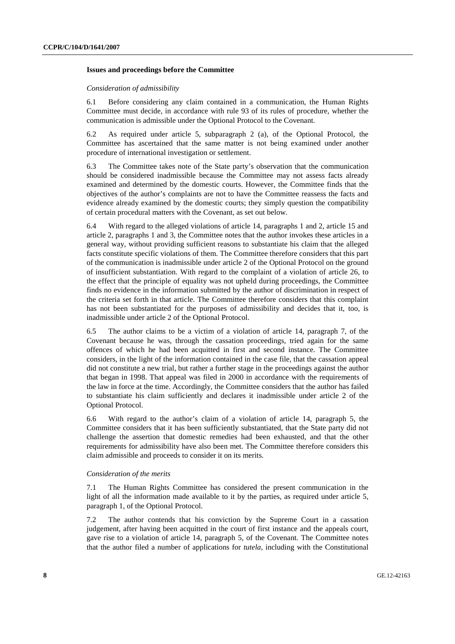#### **Issues and proceedings before the Committee**

#### *Consideration of admissibility*

6.1 Before considering any claim contained in a communication, the Human Rights Committee must decide, in accordance with rule 93 of its rules of procedure, whether the communication is admissible under the Optional Protocol to the Covenant.

6.2 As required under article 5, subparagraph 2 (a), of the Optional Protocol, the Committee has ascertained that the same matter is not being examined under another procedure of international investigation or settlement.

6.3 The Committee takes note of the State party's observation that the communication should be considered inadmissible because the Committee may not assess facts already examined and determined by the domestic courts. However, the Committee finds that the objectives of the author's complaints are not to have the Committee reassess the facts and evidence already examined by the domestic courts; they simply question the compatibility of certain procedural matters with the Covenant, as set out below.

6.4 With regard to the alleged violations of article 14, paragraphs 1 and 2, article 15 and article 2, paragraphs 1 and 3, the Committee notes that the author invokes these articles in a general way, without providing sufficient reasons to substantiate his claim that the alleged facts constitute specific violations of them. The Committee therefore considers that this part of the communication is inadmissible under article 2 of the Optional Protocol on the ground of insufficient substantiation. With regard to the complaint of a violation of article 26, to the effect that the principle of equality was not upheld during proceedings, the Committee finds no evidence in the information submitted by the author of discrimination in respect of the criteria set forth in that article. The Committee therefore considers that this complaint has not been substantiated for the purposes of admissibility and decides that it, too, is inadmissible under article 2 of the Optional Protocol.

6.5 The author claims to be a victim of a violation of article 14, paragraph 7, of the Covenant because he was, through the cassation proceedings, tried again for the same offences of which he had been acquitted in first and second instance. The Committee considers, in the light of the information contained in the case file, that the cassation appeal did not constitute a new trial, but rather a further stage in the proceedings against the author that began in 1998. That appeal was filed in 2000 in accordance with the requirements of the law in force at the time. Accordingly, the Committee considers that the author has failed to substantiate his claim sufficiently and declares it inadmissible under article 2 of the Optional Protocol.

6.6 With regard to the author's claim of a violation of article 14, paragraph 5, the Committee considers that it has been sufficiently substantiated, that the State party did not challenge the assertion that domestic remedies had been exhausted, and that the other requirements for admissibility have also been met. The Committee therefore considers this claim admissible and proceeds to consider it on its merits.

#### *Consideration of the merits*

7.1 The Human Rights Committee has considered the present communication in the light of all the information made available to it by the parties, as required under article 5, paragraph 1, of the Optional Protocol.

7.2 The author contends that his conviction by the Supreme Court in a cassation judgement, after having been acquitted in the court of first instance and the appeals court, gave rise to a violation of article 14, paragraph 5, of the Covenant. The Committee notes that the author filed a number of applications for *tutela*, including with the Constitutional